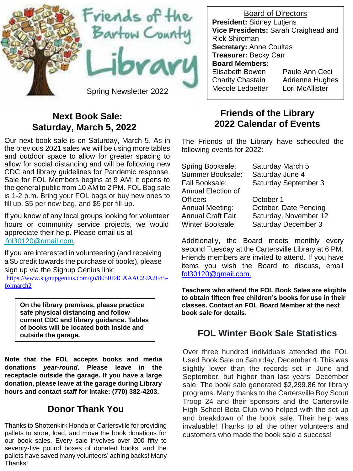

### **Next Book Sale: Saturday, March 5, 2022**

Our next book sale is on Saturday, March 5. As in the previous 2021 sales we will be using more tables and outdoor space to allow for greater spacing to allow for social distancing and will be following new CDC and library guidelines for Pandemic response. Sale for FOL Members begins at 9 AM; it opens to the general public from 10 AM to 2 PM. FOL Bag sale is 1-2 p.m. Bring your FOL bags or buy new ones to fill up. \$5 per new bag, and \$5 per fill-up.

If you know of any local groups looking for volunteer hours or community service projects, we would appreciate their help. Please email us at [fol30120@gmail.com.](mailto:fol30120@gmail.com)

If you are interested in volunteering (and receiving a \$5 credit towards the purchase of books), please sign up via the Signup Genius link:

[https://www.signupgenius.com/go/8050E4CAAAC29A2F85](https://www.signupgenius.com/go/8050E4CAAAC29A2F85-folmarch2) [folmarch2](https://www.signupgenius.com/go/8050E4CAAAC29A2F85-folmarch2)

**On the library premises, please practice safe physical distancing and follow current CDC and library guidance. Tables of books will be located both inside and outside the garage.**

**Note that the FOL accepts books and media donations** *year-round***. Please leave in the receptacle outside the garage. If you have a large donation, please leave at the garage during Library hours and contact staff for intake: (770) 382-4203.**

# **Donor Thank You**

Thanks to Shottenkirk Honda or Cartersville for providing pallets to store, load, and move the book donations for our book sales. Every sale involves over 200 fifty to seventy-five pound boxes of donated books, and the pallets have saved many volunteers'aching backs! Many Thanks!

Board of Directors **President:** Sidney Lutjens **Vice Presidents:** Sarah Craighead and Rick Shireman **Secretary:** Anne Coultas **Treasurer:** Becky Carr **Board Members:** Elisabeth Bowen Paule Ann Ceci Charity Chastain Adrienne Hughes

### **Friends of the Library 2022 Calendar of Events**

The Friends of the Library have scheduled the following events for 2022:

| Spring Booksale:         | Saturday March 5      |
|--------------------------|-----------------------|
| Summer Booksale:         | Saturday June 4       |
| Fall Booksale:           | Saturday September 3  |
| Annual Election of       |                       |
| <b>Officers</b>          | October 1             |
| Annual Meeting:          | October, Date Pending |
| <b>Annual Craft Fair</b> | Saturday, November 12 |
| Winter Booksale:         | Saturday December 3   |

Additionally, the Board meets monthly every second Tuesday at the Cartersville Library at 6 PM. Friends members are invited to attend. If you have items you wish the Board to discuss, email [fol30120@gmail.com.](mailto:fol30120@gmail.com.)

**Teachers who attend the FOL Book Sales are eligible to obtain fifteen free children's books for use in their classes. Contact an FOL Board Member at the next book sale for details.**

### **FOL Winter Book Sale Statistics**

Over three hundred individuals attended the FOL Used Book Sale on Saturday, December 4. This was slightly lower than the records set in June and September, but higher than last years' December sale. The book sale generated \$2,299.86 for library programs. Many thanks to the Cartersville Boy Scout Troop 24 and their sponsors and the Cartersville High School Beta Club who helped with the set-up and breakdown of the book sale. Their help was invaluable! Thanks to all the other volunteers and customers who made the book sale a success!